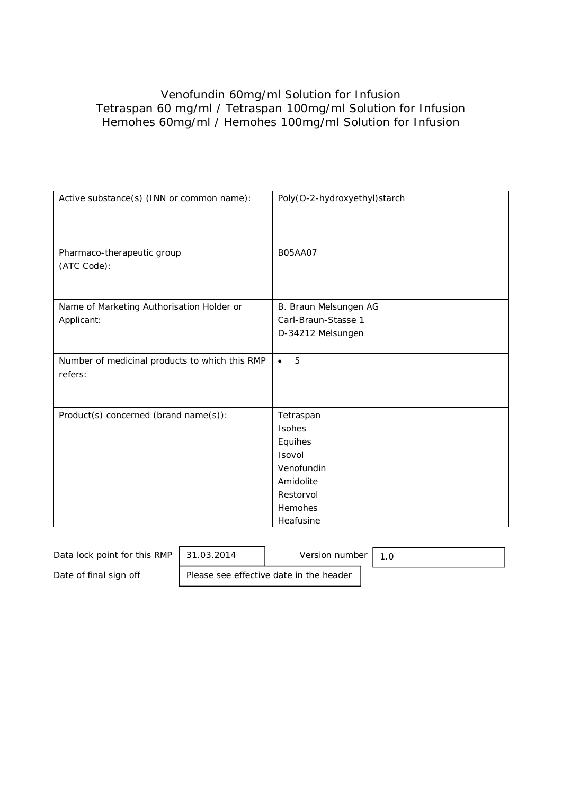# Venofundin 60mg/ml Solution for Infusion Tetraspan 60 mg/ml / Tetraspan 100mg/ml Solution for Infusion Hemohes 60mg/ml / Hemohes 100mg/ml Solution for Infusion

| Active substance(s) (INN or common name):                 | Poly(O-2-hydroxyethyl)starch |
|-----------------------------------------------------------|------------------------------|
| Pharmaco-therapeutic group<br>(ATC Code):                 | <b>B05AA07</b>               |
| Name of Marketing Authorisation Holder or                 | B. Braun Melsungen AG        |
| Applicant:                                                | Carl-Braun-Stasse 1          |
|                                                           | D-34212 Melsungen            |
| Number of medicinal products to which this RMP<br>refers: | 5<br>$\bullet$               |
| Product(s) concerned (brand name(s)):                     | Tetraspan                    |
|                                                           | Isohes                       |
|                                                           | Equihes                      |
|                                                           | Isovol                       |
|                                                           | Venofundin                   |
|                                                           | Amidolite                    |
|                                                           | Restorvol                    |
|                                                           | <b>Hemohes</b>               |
|                                                           | Heafusine                    |

| Data lock point for this RMP | 31.03.2014 | Version number                          |  |
|------------------------------|------------|-----------------------------------------|--|
| Date of final sign off       |            | Please see effective date in the header |  |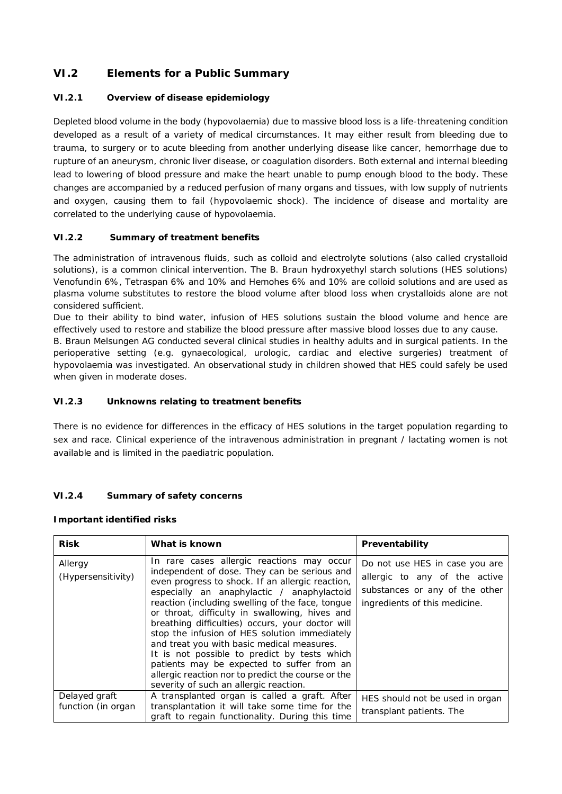# **VI.2 Elements for a Public Summary**

### *VI.2.1 Overview of disease epidemiology*

Depleted blood volume in the body (hypovolaemia) due to massive blood loss is a life-threatening condition developed as a result of a variety of medical circumstances. It may either result from bleeding due to trauma, to surgery or to acute bleeding from another underlying disease like cancer, hemorrhage due to rupture of an aneurysm, chronic liver disease, or coagulation disorders. Both external and internal bleeding lead to lowering of blood pressure and make the heart unable to pump enough blood to the body. These changes are accompanied by a reduced perfusion of many organs and tissues, with low supply of nutrients and oxygen, causing them to fail (hypovolaemic shock). The incidence of disease and mortality are correlated to the underlying cause of hypovolaemia.

### *VI.2.2 Summary of treatment benefits*

The administration of intravenous fluids, such as colloid and electrolyte solutions (also called crystalloid solutions), is a common clinical intervention. The B. Braun hydroxyethyl starch solutions (HES solutions) Venofundin 6%, Tetraspan 6% and 10% and Hemohes 6% and 10% are colloid solutions and are used as plasma volume substitutes to restore the blood volume after blood loss when crystalloids alone are not considered sufficient.

Due to their ability to bind water, infusion of HES solutions sustain the blood volume and hence are effectively used to restore and stabilize the blood pressure after massive blood losses due to any cause.

B. Braun Melsungen AG conducted several clinical studies in healthy adults and in surgical patients. In the perioperative setting (e.g. gynaecological, urologic, cardiac and elective surgeries) treatment of hypovolaemia was investigated. An observational study in children showed that HES could safely be used when given in moderate doses.

#### *VI.2.3 Unknowns relating to treatment benefits*

There is no evidence for differences in the efficacy of HES solutions in the target population regarding to sex and race. Clinical experience of the intravenous administration in pregnant / lactating women is not available and is limited in the paediatric population.

#### *VI.2.4 Summary of safety concerns*

**Important identified risks**

| <b>Risk</b>                         | What is known                                                                                                                                                                                                                                                                                                                                                                                                                                                                                                                                                                                                                                       | Preventability                                                                                                                     |
|-------------------------------------|-----------------------------------------------------------------------------------------------------------------------------------------------------------------------------------------------------------------------------------------------------------------------------------------------------------------------------------------------------------------------------------------------------------------------------------------------------------------------------------------------------------------------------------------------------------------------------------------------------------------------------------------------------|------------------------------------------------------------------------------------------------------------------------------------|
| Allergy<br>(Hypersensitivity)       | In rare cases allergic reactions may occur<br>independent of dose. They can be serious and<br>even progress to shock. If an allergic reaction,<br>especially an anaphylactic / anaphylactoid<br>reaction (including swelling of the face, tongue<br>or throat, difficulty in swallowing, hives and<br>breathing difficulties) occurs, your doctor will<br>stop the infusion of HES solution immediately<br>and treat you with basic medical measures.<br>It is not possible to predict by tests which<br>patients may be expected to suffer from an<br>allergic reaction nor to predict the course or the<br>severity of such an allergic reaction. | Do not use HES in case you are<br>allergic to any of the active<br>substances or any of the other<br>ingredients of this medicine. |
| Delayed graft<br>function (in organ | A transplanted organ is called a graft. After<br>transplantation it will take some time for the<br>graft to regain functionality. During this time                                                                                                                                                                                                                                                                                                                                                                                                                                                                                                  | HES should not be used in organ<br>transplant patients. The                                                                        |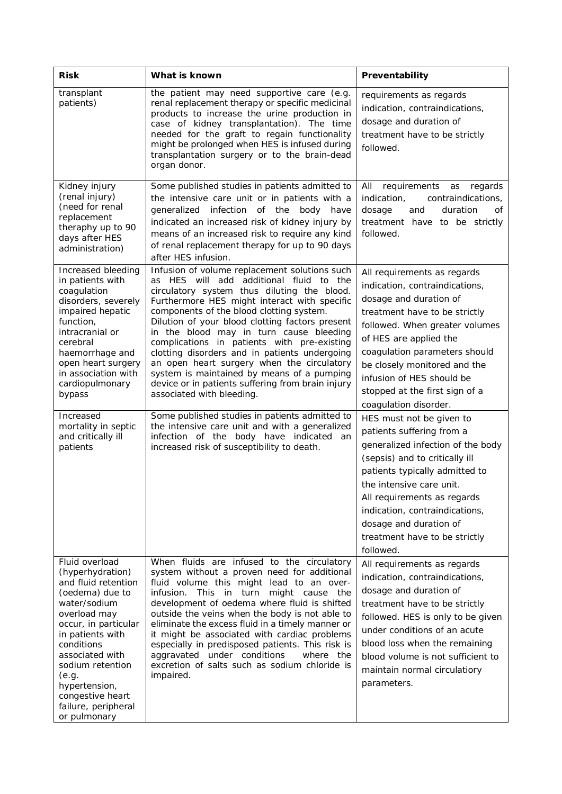| <b>Risk</b>                                                                                                                                                                                                                                                                                                     | What is known                                                                                                                                                                                                                                                                                                                                                                                                                                                                                                                                                                                                                                                                                                                                                                                                | Preventability                                                                                                                                                                                                                                                                                                                                                                                                                                                                                                                                                                                                                                                          |
|-----------------------------------------------------------------------------------------------------------------------------------------------------------------------------------------------------------------------------------------------------------------------------------------------------------------|--------------------------------------------------------------------------------------------------------------------------------------------------------------------------------------------------------------------------------------------------------------------------------------------------------------------------------------------------------------------------------------------------------------------------------------------------------------------------------------------------------------------------------------------------------------------------------------------------------------------------------------------------------------------------------------------------------------------------------------------------------------------------------------------------------------|-------------------------------------------------------------------------------------------------------------------------------------------------------------------------------------------------------------------------------------------------------------------------------------------------------------------------------------------------------------------------------------------------------------------------------------------------------------------------------------------------------------------------------------------------------------------------------------------------------------------------------------------------------------------------|
| transplant<br>patients)                                                                                                                                                                                                                                                                                         | the patient may need supportive care (e.g.<br>renal replacement therapy or specific medicinal<br>products to increase the urine production in<br>case of kidney transplantation). The time<br>needed for the graft to regain functionality<br>might be prolonged when HES is infused during<br>transplantation surgery or to the brain-dead<br>organ donor.                                                                                                                                                                                                                                                                                                                                                                                                                                                  | requirements as regards<br>indication, contraindications,<br>dosage and duration of<br>treatment have to be strictly<br>followed.                                                                                                                                                                                                                                                                                                                                                                                                                                                                                                                                       |
| Kidney injury<br>(renal injury)<br>(need for renal<br>replacement<br>theraphy up to 90<br>days after HES<br>administration)                                                                                                                                                                                     | Some published studies in patients admitted to<br>the intensive care unit or in patients with a<br>infection<br>of the body have<br>generalized<br>indicated an increased risk of kidney injury by<br>means of an increased risk to require any kind<br>of renal replacement therapy for up to 90 days<br>after HES infusion.                                                                                                                                                                                                                                                                                                                                                                                                                                                                                | All<br>requirements<br>regards<br>as<br>indication,<br>contraindications,<br>and<br>duration<br>dosage<br>οf<br>treatment have to be strictly<br>followed.                                                                                                                                                                                                                                                                                                                                                                                                                                                                                                              |
| Increased bleeding<br>in patients with<br>coagulation<br>disorders, severely<br>impaired hepatic<br>function,<br>intracranial or<br>cerebral<br>haemorrhage and<br>open heart surgery<br>in association with<br>cardiopulmonary<br>bypass<br>Increased<br>mortality in septic<br>and critically ill<br>patients | Infusion of volume replacement solutions such<br>as HES will add additional fluid to the<br>circulatory system thus diluting the blood.<br>Furthermore HES might interact with specific<br>components of the blood clotting system.<br>Dilution of your blood clotting factors present<br>in the blood may in turn cause bleeding<br>complications in patients with pre-existing<br>clotting disorders and in patients undergoing<br>an open heart surgery when the circulatory<br>system is maintained by means of a pumping<br>device or in patients suffering from brain injury<br>associated with bleeding.<br>Some published studies in patients admitted to<br>the intensive care unit and with a generalized<br>infection of the body have indicated an<br>increased risk of susceptibility to death. | All requirements as regards<br>indication, contraindications,<br>dosage and duration of<br>treatment have to be strictly<br>followed. When greater volumes<br>of HES are applied the<br>coagulation parameters should<br>be closely monitored and the<br>infusion of HES should be<br>stopped at the first sign of a<br>coagulation disorder.<br>HES must not be given to<br>patients suffering from a<br>generalized infection of the body<br>(sepsis) and to critically ill<br>patients typically admitted to<br>the intensive care unit.<br>All requirements as regards<br>indication, contraindications,<br>dosage and duration of<br>treatment have to be strictly |
| Fluid overload<br>(hyperhydration)<br>and fluid retention<br>(oedema) due to<br>water/sodium<br>overload may<br>occur, in particular<br>in patients with<br>conditions<br>associated with<br>sodium retention<br>(e.g.<br>hypertension,<br>congestive heart<br>failure, peripheral<br>or pulmonary              | When fluids are infused to the circulatory<br>system without a proven need for additional<br>fluid volume this might lead to an over-<br>infusion.<br>This in turn might cause the<br>development of oedema where fluid is shifted<br>outside the veins when the body is not able to<br>eliminate the excess fluid in a timely manner or<br>it might be associated with cardiac problems<br>especially in predisposed patients. This risk is<br>aggravated under conditions<br>where the<br>excretion of salts such as sodium chloride is<br>impaired.                                                                                                                                                                                                                                                       | followed.<br>All requirements as regards<br>indication, contraindications,<br>dosage and duration of<br>treatment have to be strictly<br>followed. HES is only to be given<br>under conditions of an acute<br>blood loss when the remaining<br>blood volume is not sufficient to<br>maintain normal circulatiory<br>parameters.                                                                                                                                                                                                                                                                                                                                         |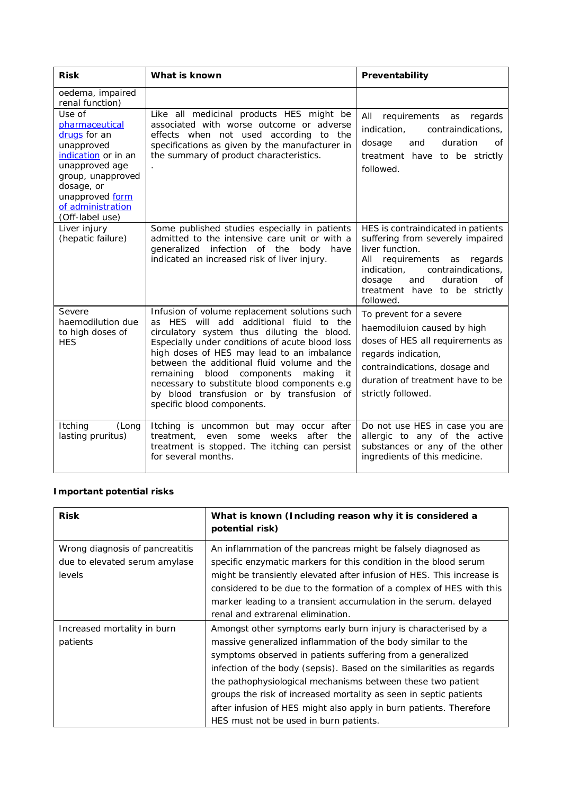| <b>Risk</b>                                                                                                                                                                                   | What is known                                                                                                                                                                                                                                                                                                                                                                                                                                                 | Preventability                                                                                                                                                                                                                                 |  |
|-----------------------------------------------------------------------------------------------------------------------------------------------------------------------------------------------|---------------------------------------------------------------------------------------------------------------------------------------------------------------------------------------------------------------------------------------------------------------------------------------------------------------------------------------------------------------------------------------------------------------------------------------------------------------|------------------------------------------------------------------------------------------------------------------------------------------------------------------------------------------------------------------------------------------------|--|
| oedema, impaired<br>renal function)                                                                                                                                                           |                                                                                                                                                                                                                                                                                                                                                                                                                                                               |                                                                                                                                                                                                                                                |  |
| Use of<br>pharmaceutical<br>drugs for an<br>unapproved<br>indication or in an<br>unapproved age<br>group, unapproved<br>dosage, or<br>unapproved form<br>of administration<br>(Off-label use) | Like all medicinal products HES might be<br>associated with worse outcome or adverse<br>effects when not used according to the<br>specifications as given by the manufacturer in<br>the summary of product characteristics.                                                                                                                                                                                                                                   | All requirements as regards<br>indication,<br>contraindications,<br>duration<br>dosage<br>and<br>0f<br>treatment have to be strictly<br>followed.                                                                                              |  |
| Liver injury<br>(hepatic failure)                                                                                                                                                             | Some published studies especially in patients<br>admitted to the intensive care unit or with a<br>generalized infection of the body have<br>indicated an increased risk of liver injury.                                                                                                                                                                                                                                                                      | HES is contraindicated in patients<br>suffering from severely impaired<br>liver function.<br>All requirements as regards<br>indication.<br>contraindications.<br>duration<br>dosage<br>and<br>οf<br>treatment have to be strictly<br>followed. |  |
| Severe<br>haemodilution due<br>to high doses of<br><b>HES</b>                                                                                                                                 | Infusion of volume replacement solutions such<br>as HES will add additional fluid to the<br>circulatory system thus diluting the blood.<br>Especially under conditions of acute blood loss<br>high doses of HES may lead to an imbalance<br>between the additional fluid volume and the<br>remaining blood components making<br>it<br>necessary to substitute blood components e.g<br>by blood transfusion or by transfusion of<br>specific blood components. | To prevent for a severe<br>haemodiluion caused by high<br>doses of HES all requirements as<br>regards indication,<br>contraindications, dosage and<br>duration of treatment have to be<br>strictly followed.                                   |  |
| Itching<br>(Long<br>lasting pruritus)                                                                                                                                                         | Itching is uncommon but may occur after<br>weeks<br>after<br>treatment, even some<br>the<br>treatment is stopped. The itching can persist<br>for several months.                                                                                                                                                                                                                                                                                              | Do not use HES in case you are<br>allergic to any of the active<br>substances or any of the other<br>ingredients of this medicine.                                                                                                             |  |

## **Important potential risks**

| <b>Risk</b>                                                                | What is known (Including reason why it is considered a<br>potential risk)                                                                                                                                                                                                                                                                                                                                                                                                                                               |
|----------------------------------------------------------------------------|-------------------------------------------------------------------------------------------------------------------------------------------------------------------------------------------------------------------------------------------------------------------------------------------------------------------------------------------------------------------------------------------------------------------------------------------------------------------------------------------------------------------------|
| Wrong diagnosis of pancreatitis<br>due to elevated serum amylase<br>levels | An inflammation of the pancreas might be falsely diagnosed as<br>specific enzymatic markers for this condition in the blood serum<br>might be transiently elevated after infusion of HES. This increase is<br>considered to be due to the formation of a complex of HES with this<br>marker leading to a transient accumulation in the serum. delayed<br>renal and extrarenal elimination.                                                                                                                              |
| Increased mortality in burn<br>patients                                    | Amongst other symptoms early burn injury is characterised by a<br>massive generalized inflammation of the body similar to the<br>symptoms observed in patients suffering from a generalized<br>infection of the body (sepsis). Based on the similarities as regards<br>the pathophysiological mechanisms between these two patient<br>groups the risk of increased mortality as seen in septic patients<br>after infusion of HES might also apply in burn patients. Therefore<br>HES must not be used in burn patients. |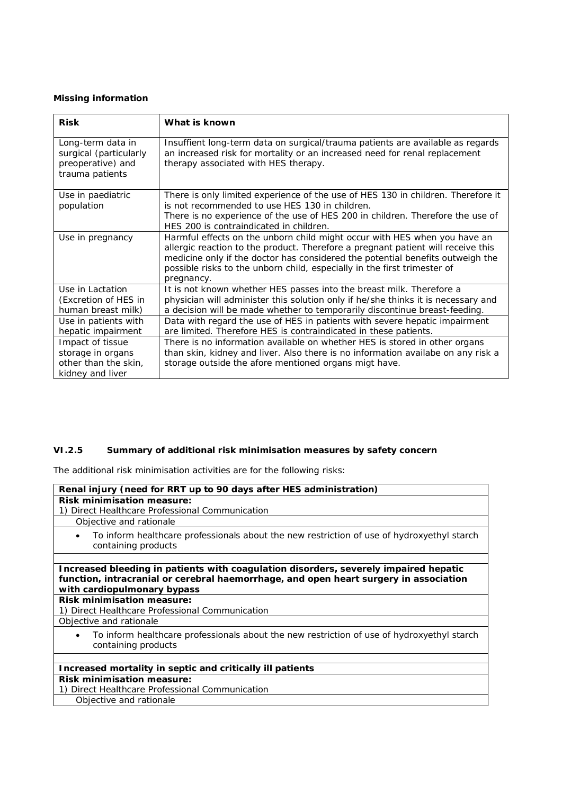### **Missing information**

| <b>Risk</b>            | What is known                                                                     |
|------------------------|-----------------------------------------------------------------------------------|
|                        |                                                                                   |
| Long-term data in      | Insuffient long-term data on surgical/trauma patients are available as regards    |
| surgical (particularly | an increased risk for mortality or an increased need for renal replacement        |
| preoperative) and      | therapy associated with HES therapy.                                              |
| trauma patients        |                                                                                   |
|                        |                                                                                   |
| Use in paediatric      | There is only limited experience of the use of HES 130 in children. Therefore it  |
| population             | is not recommended to use HES 130 in children.                                    |
|                        | There is no experience of the use of HES 200 in children. Therefore the use of    |
|                        | HES 200 is contraindicated in children.                                           |
| Use in pregnancy       | Harmful effects on the unborn child might occur with HES when you have an         |
|                        | allergic reaction to the product. Therefore a pregnant patient will receive this  |
|                        | medicine only if the doctor has considered the potential benefits outweigh the    |
|                        | possible risks to the unborn child, especially in the first trimester of          |
|                        | pregnancy.                                                                        |
| Use in Lactation       | It is not known whether HES passes into the breast milk. Therefore a              |
| (Excretion of HES in   | physician will administer this solution only if he/she thinks it is necessary and |
| human breast milk)     | a decision will be made whether to temporarily discontinue breast-feeding.        |
| Use in patients with   | Data with regard the use of HES in patients with severe hepatic impairment        |
| hepatic impairment     | are limited. Therefore HES is contraindicated in these patients.                  |
| Impact of tissue       | There is no information available on whether HES is stored in other organs        |
| storage in organs      | than skin, kidney and liver. Also there is no information availabe on any risk a  |
| other than the skin.   | storage outside the afore mentioned organs migt have.                             |
| kidney and liver       |                                                                                   |

## *VI.2.5 Summary of additional risk minimisation measures by safety concern*

The additional risk minimisation activities are for the following risks:

| Renal injury (need for RRT up to 90 days after HES administration)                                                                                                                                           |
|--------------------------------------------------------------------------------------------------------------------------------------------------------------------------------------------------------------|
| Risk minimisation measure:                                                                                                                                                                                   |
| 1) Direct Healthcare Professional Communication<br>Objective and rationale                                                                                                                                   |
|                                                                                                                                                                                                              |
| To inform healthcare professionals about the new restriction of use of hydroxyethyl starch<br>$\bullet$<br>containing products                                                                               |
|                                                                                                                                                                                                              |
| Increased bleeding in patients with coagulation disorders, severely impaired hepatic<br>function, intracranial or cerebral haemorrhage, and open heart surgery in association<br>with cardiopulmonary bypass |
| Risk minimisation measure:                                                                                                                                                                                   |
| 1) Direct Healthcare Professional Communication                                                                                                                                                              |
| Objective and rationale                                                                                                                                                                                      |
| To inform healthcare professionals about the new restriction of use of hydroxyethyl starch<br>٠<br>containing products                                                                                       |
|                                                                                                                                                                                                              |
| Increased mortality in septic and critically ill patients                                                                                                                                                    |
| Risk minimisation measure:                                                                                                                                                                                   |
| 1) Direct Healthcare Professional Communication                                                                                                                                                              |
| Objective and rationale                                                                                                                                                                                      |
|                                                                                                                                                                                                              |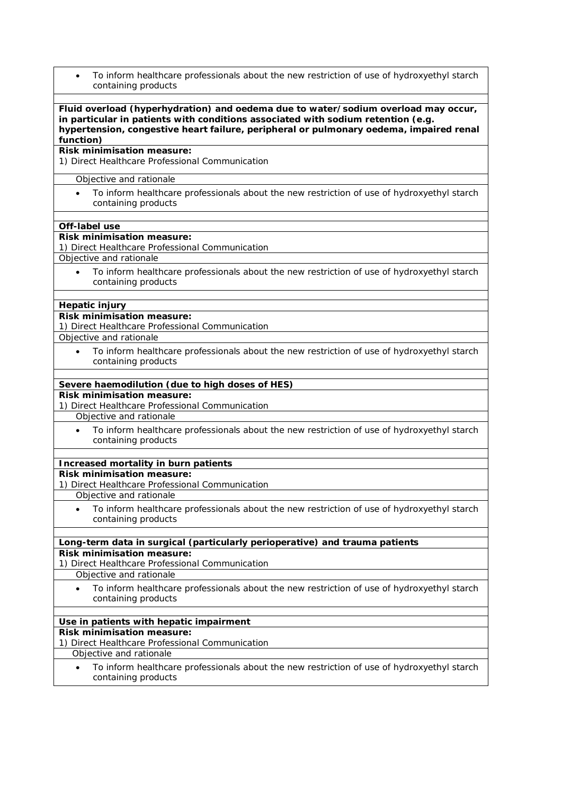| To inform healthcare professionals about the new restriction of use of hydroxyethyl starch<br>$\bullet$<br>containing products                                                                                                                                                |
|-------------------------------------------------------------------------------------------------------------------------------------------------------------------------------------------------------------------------------------------------------------------------------|
| Fluid overload (hyperhydration) and oedema due to water/sodium overload may occur,<br>in particular in patients with conditions associated with sodium retention (e.g.<br>hypertension, congestive heart failure, peripheral or pulmonary oedema, impaired renal<br>function) |
| Risk minimisation measure:<br>1) Direct Healthcare Professional Communication                                                                                                                                                                                                 |
| Objective and rationale                                                                                                                                                                                                                                                       |
| To inform healthcare professionals about the new restriction of use of hydroxyethyl starch<br>containing products                                                                                                                                                             |
| Off-label use                                                                                                                                                                                                                                                                 |
| Risk minimisation measure:<br>1) Direct Healthcare Professional Communication                                                                                                                                                                                                 |
| Objective and rationale                                                                                                                                                                                                                                                       |
| To inform healthcare professionals about the new restriction of use of hydroxyethyl starch<br>$\bullet$<br>containing products                                                                                                                                                |
| Hepatic injury                                                                                                                                                                                                                                                                |
| Risk minimisation measure:                                                                                                                                                                                                                                                    |
| 1) Direct Healthcare Professional Communication                                                                                                                                                                                                                               |
| Objective and rationale                                                                                                                                                                                                                                                       |
| To inform healthcare professionals about the new restriction of use of hydroxyethyl starch<br>$\bullet$<br>containing products                                                                                                                                                |
| Severe haemodilution (due to high doses of HES)                                                                                                                                                                                                                               |
| Risk minimisation measure:<br>1) Direct Healthcare Professional Communication                                                                                                                                                                                                 |
| Objective and rationale                                                                                                                                                                                                                                                       |
| To inform healthcare professionals about the new restriction of use of hydroxyethyl starch<br>containing products                                                                                                                                                             |
| Increased mortality in burn patients                                                                                                                                                                                                                                          |
| Risk minimisation measure:                                                                                                                                                                                                                                                    |
| 1) Direct Healthcare Professional Communication                                                                                                                                                                                                                               |
| Objective and rationale                                                                                                                                                                                                                                                       |
| To inform healthcare professionals about the new restriction of use of hydroxyethyl starch<br>containing products                                                                                                                                                             |
| Long-term data in surgical (particularly perioperative) and trauma patients                                                                                                                                                                                                   |
| Risk minimisation measure:<br>1) Direct Healthcare Professional Communication                                                                                                                                                                                                 |
| Objective and rationale                                                                                                                                                                                                                                                       |
| To inform healthcare professionals about the new restriction of use of hydroxyethyl starch<br>$\bullet$<br>containing products                                                                                                                                                |
|                                                                                                                                                                                                                                                                               |
| Use in patients with hepatic impairment<br>Risk minimisation measure:                                                                                                                                                                                                         |
| 1) Direct Healthcare Professional Communication                                                                                                                                                                                                                               |
| Objective and rationale                                                                                                                                                                                                                                                       |
| To inform healthcare professionals about the new restriction of use of hydroxyethyl starch<br>$\bullet$<br>containing products                                                                                                                                                |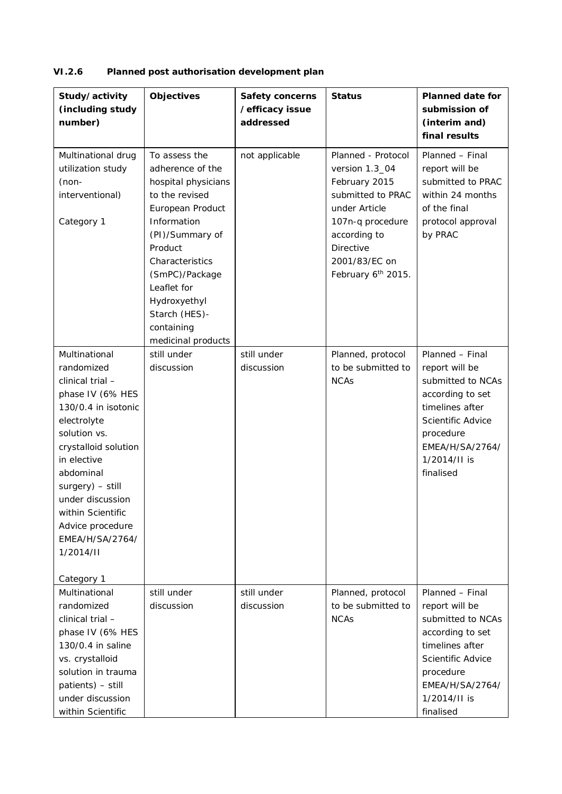| VI.2.6<br>Planned post authorisation development plan |
|-------------------------------------------------------|
|-------------------------------------------------------|

| Study/activity<br>(including study<br>number)                                                                                                                                                                                                                                                                | Objectives                                                                                                                                                                                                                                                           | Safety concerns<br>/efficacy issue<br>addressed | <b>Status</b>                                                                                                                                                                       | Planned date for<br>submission of<br>(interim and)<br>final results                                                                                                             |
|--------------------------------------------------------------------------------------------------------------------------------------------------------------------------------------------------------------------------------------------------------------------------------------------------------------|----------------------------------------------------------------------------------------------------------------------------------------------------------------------------------------------------------------------------------------------------------------------|-------------------------------------------------|-------------------------------------------------------------------------------------------------------------------------------------------------------------------------------------|---------------------------------------------------------------------------------------------------------------------------------------------------------------------------------|
| Multinational drug<br>utilization study<br>$(non-$<br>interventional)<br>Category 1                                                                                                                                                                                                                          | To assess the<br>adherence of the<br>hospital physicians<br>to the revised<br>European Product<br>Information<br>(PI)/Summary of<br>Product<br>Characteristics<br>(SmPC)/Package<br>Leaflet for<br>Hydroxyethyl<br>Starch (HES)-<br>containing<br>medicinal products | not applicable                                  | Planned - Protocol<br>version 1.3_04<br>February 2015<br>submitted to PRAC<br>under Article<br>107n-q procedure<br>according to<br>Directive<br>2001/83/EC on<br>February 6th 2015. | Planned - Final<br>report will be<br>submitted to PRAC<br>within 24 months<br>of the final<br>protocol approval<br>by PRAC                                                      |
| Multinational<br>randomized<br>clinical trial -<br>phase IV (6% HES<br>130/0.4 in isotonic<br>electrolyte<br>solution vs.<br>crystalloid solution<br>in elective<br>abdominal<br>surgery) - still<br>under discussion<br>within Scientific<br>Advice procedure<br>EMEA/H/SA/2764/<br>1/2014/II<br>Category 1 | still under<br>discussion                                                                                                                                                                                                                                            | still under<br>discussion                       | Planned, protocol<br>to be submitted to<br><b>NCAs</b>                                                                                                                              | Planned - Final<br>report will be<br>submitted to NCAs<br>according to set<br>timelines after<br>Scientific Advice<br>procedure<br>EMEA/H/SA/2764/<br>1/2014/II is<br>finalised |
| Multinational<br>randomized<br>clinical trial -<br>phase IV (6% HES<br>130/0.4 in saline<br>vs. crystalloid<br>solution in trauma<br>patients) - still<br>under discussion<br>within Scientific                                                                                                              | still under<br>discussion                                                                                                                                                                                                                                            | still under<br>discussion                       | Planned, protocol<br>to be submitted to<br><b>NCAs</b>                                                                                                                              | Planned - Final<br>report will be<br>submitted to NCAs<br>according to set<br>timelines after<br>Scientific Advice<br>procedure<br>EMEA/H/SA/2764/<br>1/2014/II is<br>finalised |